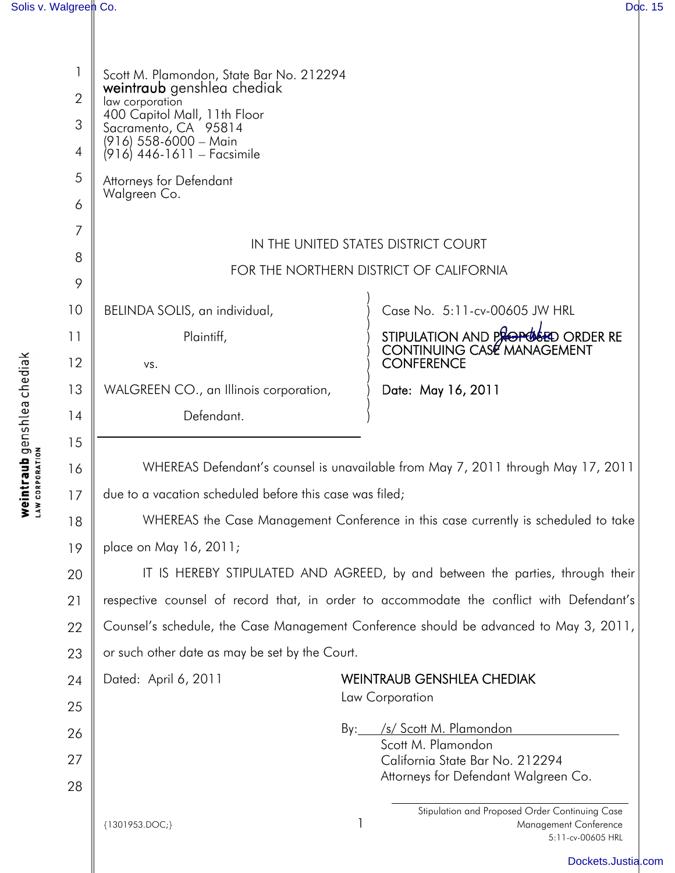I

| 1  | Scott M. Plamondon, State Bar No. 212294<br>weintraub genshlea chediak                   |   |                                                                                              |  |  |
|----|------------------------------------------------------------------------------------------|---|----------------------------------------------------------------------------------------------|--|--|
| 2  | law corporation<br>400 Capitol Mall, 11th Floor                                          |   |                                                                                              |  |  |
| 3  | Sacramento, CA 95814<br>(916) 558-6000 - Main                                            |   |                                                                                              |  |  |
| 4  | (916) 446-1611 – Facsimile                                                               |   |                                                                                              |  |  |
| 5  | Attorneys for Defendant<br>Walgreen Co.                                                  |   |                                                                                              |  |  |
| 6  |                                                                                          |   |                                                                                              |  |  |
| 7  | IN THE UNITED STATES DISTRICT COURT                                                      |   |                                                                                              |  |  |
| 8  | FOR THE NORTHERN DISTRICT OF CALIFORNIA                                                  |   |                                                                                              |  |  |
| 9  |                                                                                          |   |                                                                                              |  |  |
| 10 | BELINDA SOLIS, an individual,                                                            |   | Case No. 5:11-cv-00605 JW HRL                                                                |  |  |
| 11 | Plaintiff,                                                                               |   | STIPULATION AND PROPOSED ORDER RE<br>CONTINUING CASE MANAGEMENT                              |  |  |
| 12 | VS.                                                                                      |   | <b>CONFERENCE</b>                                                                            |  |  |
| 13 | WALGREEN CO., an Illinois corporation,                                                   |   | Date: May 16, 2011                                                                           |  |  |
| 14 | Defendant.                                                                               |   |                                                                                              |  |  |
| 15 |                                                                                          |   |                                                                                              |  |  |
| 16 | WHEREAS Defendant's counsel is unavailable from May 7, 2011 through May 17, 2011         |   |                                                                                              |  |  |
| 17 | due to a vacation scheduled before this case was filed;                                  |   |                                                                                              |  |  |
| 18 | WHEREAS the Case Management Conference in this case currently is scheduled to take       |   |                                                                                              |  |  |
| 19 | place on May 16, 2011;                                                                   |   |                                                                                              |  |  |
| 20 | IT IS HEREBY STIPULATED AND AGREED, by and between the parties, through their            |   |                                                                                              |  |  |
| 21 | respective counsel of record that, in order to accommodate the conflict with Defendant's |   |                                                                                              |  |  |
| 22 | Counsel's schedule, the Case Management Conference should be advanced to May 3, 2011,    |   |                                                                                              |  |  |
| 23 | or such other date as may be set by the Court.                                           |   |                                                                                              |  |  |
| 24 | Dated: April 6, 2011                                                                     |   | <b>WEINTRAUB GENSHLEA CHEDIAK</b>                                                            |  |  |
| 25 |                                                                                          |   | Law Corporation                                                                              |  |  |
| 26 |                                                                                          |   | By: /s/ Scott M. Plamondon                                                                   |  |  |
| 27 |                                                                                          |   | Scott M. Plamondon<br>California State Bar No. 212294                                        |  |  |
| 28 |                                                                                          |   | Attorneys for Defendant Walgreen Co.                                                         |  |  |
|    | {1301953.DOC;}                                                                           | 1 | Stipulation and Proposed Order Continuing Case<br>Management Conference<br>5:11-cv-00605 HRL |  |  |
|    |                                                                                          |   | Dockets.Justia.com                                                                           |  |  |